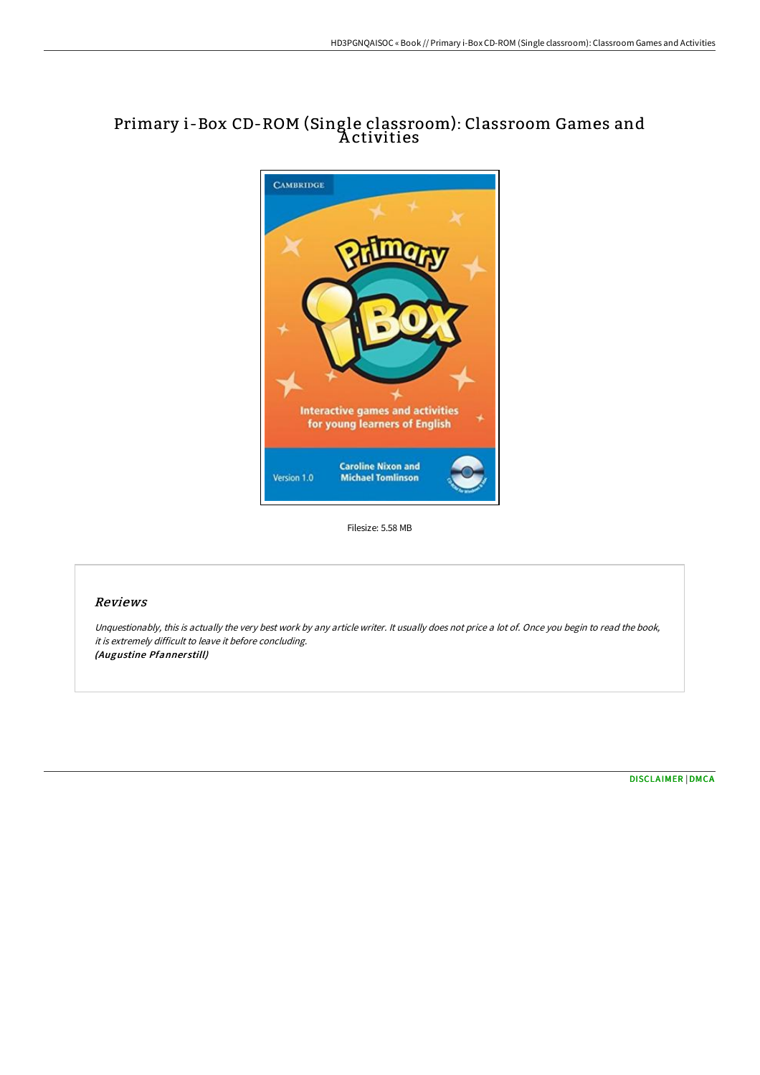# Primary i-Box CD-ROM (Single classroom): Classroom Games and A ctivities



Filesize: 5.58 MB

## Reviews

Unquestionably, this is actually the very best work by any article writer. It usually does not price <sup>a</sup> lot of. Once you begin to read the book, it is extremely difficult to leave it before concluding. (Augustine Pfanner still)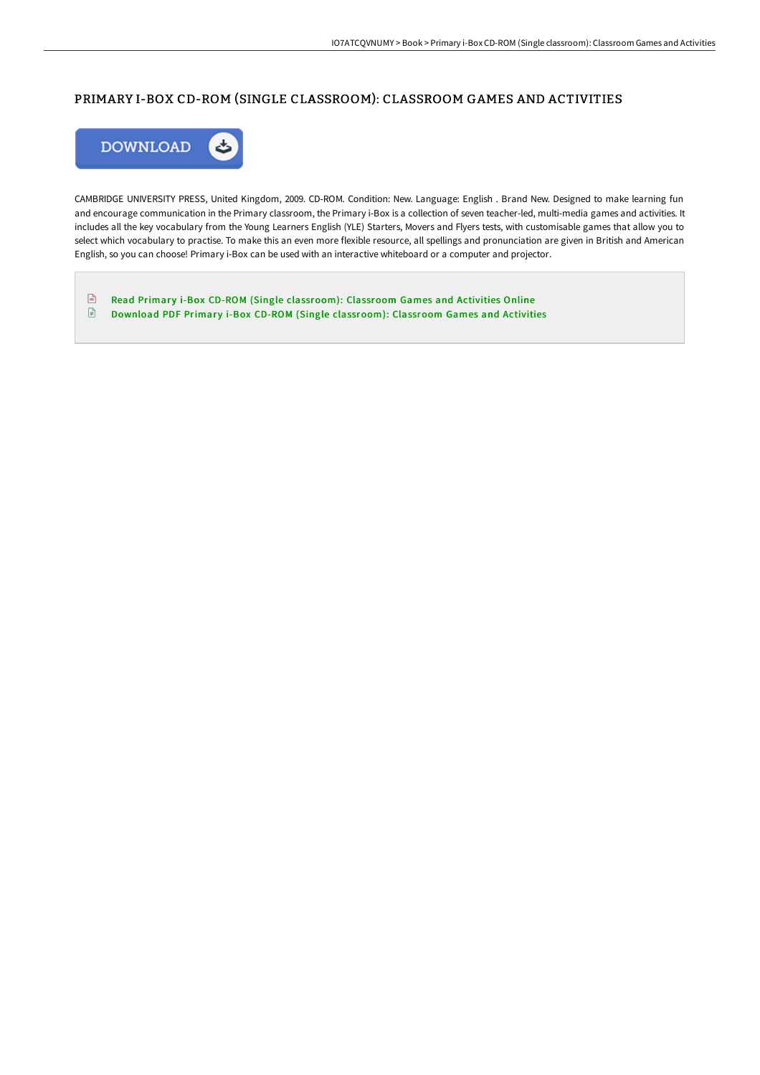## PRIMARY I-BOX CD-ROM (SINGLE CLASSROOM): CLASSROOM GAMES AND ACTIVITIES



CAMBRIDGE UNIVERSITY PRESS, United Kingdom, 2009. CD-ROM. Condition: New. Language: English . Brand New. Designed to make learning fun and encourage communication in the Primary classroom, the Primary i-Box is a collection of seven teacher-led, multi-media games and activities. It includes all the key vocabulary from the Young Learners English (YLE) Starters, Movers and Flyers tests, with customisable games that allow you to select which vocabulary to practise. To make this an even more flexible resource, all spellings and pronunciation are given in British and American English, so you can choose! Primary i-Box can be used with an interactive whiteboard or a computer and projector.

 $\sqrt{\frac{1}{100}}$ Read Primary i-Box CD-ROM (Single [classroom\):](http://techno-pub.tech/primary-i-box-cd-rom-single-classroom-classroom-.html) Classroom Games and Activities Online  $\mathbf{E}$ Download PDF Primary i-Box CD-ROM (Single [classroom\):](http://techno-pub.tech/primary-i-box-cd-rom-single-classroom-classroom-.html) Classroom Games and Activities